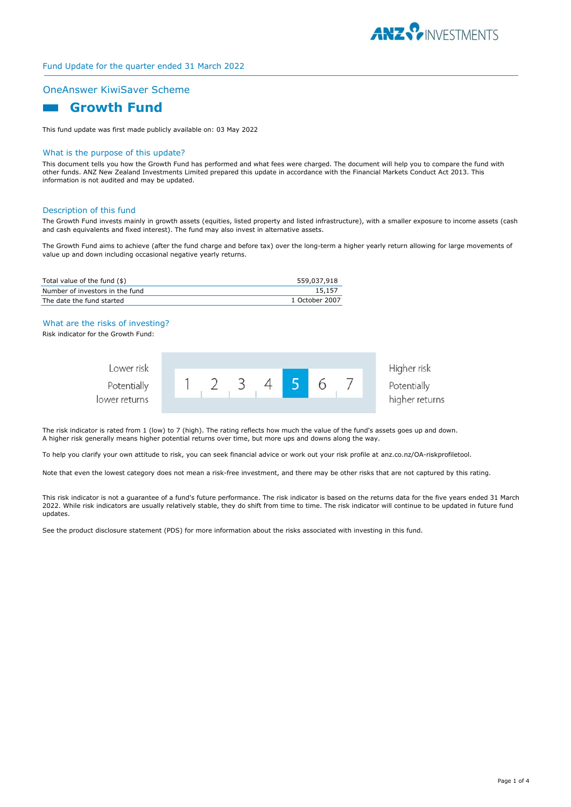

# Fund Update for the quarter ended 31 March 2022

### OneAnswer KiwiSaver Scheme

# **Growth Fund**

This fund update was first made publicly available on: 03 May 2022

#### What is the purpose of this update?

This document tells you how the Growth Fund has performed and what fees were charged. The document will help you to compare the fund with other funds. ANZ New Zealand Investments Limited prepared this update in accordance with the Financial Markets Conduct Act 2013. This information is not audited and may be updated.

#### Description of this fund

The Growth Fund invests mainly in growth assets (equities, listed property and listed infrastructure), with a smaller exposure to income assets (cash and cash equivalents and fixed interest). The fund may also invest in alternative assets.

The Growth Fund aims to achieve (after the fund charge and before tax) over the long-term a higher yearly return allowing for large movements of value up and down including occasional negative yearly returns.

| Total value of the fund (\$)    | 559,037,918    |
|---------------------------------|----------------|
| Number of investors in the fund | 15.157         |
| The date the fund started       | 1 October 2007 |

#### What are the risks of investing?

Risk indicator for the Growth Fund:

| Lower risk    |  |  |  |  | Higher risk    |
|---------------|--|--|--|--|----------------|
| Potentially   |  |  |  |  | Potentially    |
| lower returns |  |  |  |  | higher returns |

The risk indicator is rated from 1 (low) to 7 (high). The rating reflects how much the value of the fund's assets goes up and down. A higher risk generally means higher potential returns over time, but more ups and downs along the way.

To help you clarify your own attitude to risk, you can seek financial advice or work out your risk profile at anz.co.nz/OA-riskprofiletool.

Note that even the lowest category does not mean a risk-free investment, and there may be other risks that are not captured by this rating.

This risk indicator is not a guarantee of a fund's future performance. The risk indicator is based on the returns data for the five years ended 31 March 2022. While risk indicators are usually relatively stable, they do shift from time to time. The risk indicator will continue to be updated in future fund updates.

See the product disclosure statement (PDS) for more information about the risks associated with investing in this fund.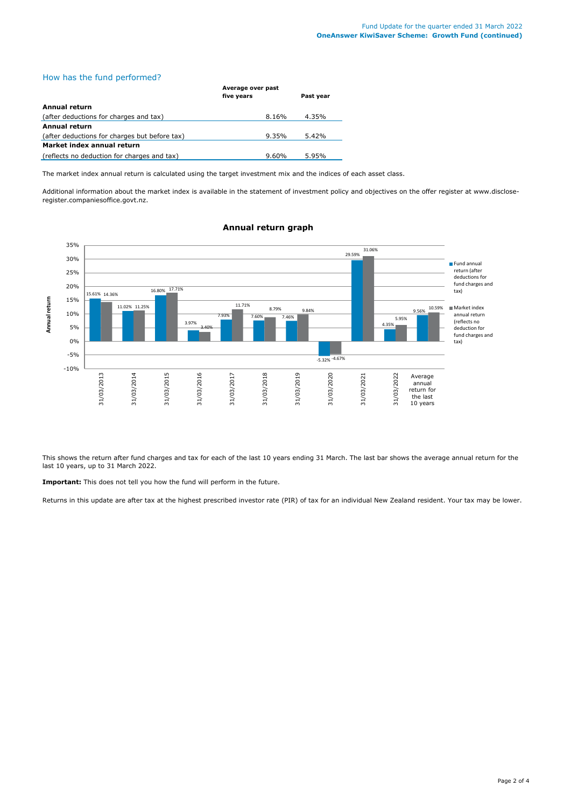# How has the fund performed?

|                                               | Average over past |           |  |
|-----------------------------------------------|-------------------|-----------|--|
|                                               | five years        | Past year |  |
| Annual return                                 |                   |           |  |
| (after deductions for charges and tax)        | 8.16%             | 4.35%     |  |
| Annual return                                 |                   |           |  |
| (after deductions for charges but before tax) | 9.35%             | 5.42%     |  |
| Market index annual return                    |                   |           |  |
| (reflects no deduction for charges and tax)   | 9.60%             | 5.95%     |  |

The market index annual return is calculated using the target investment mix and the indices of each asset class.

Additional information about the market index is available in the statement of investment policy and objectives on the offer register at www.discloseregister.companiesoffice.govt.nz.



## **Annual return graph**

This shows the return after fund charges and tax for each of the last 10 years ending 31 March. The last bar shows the average annual return for the last 10 years, up to 31 March 2022.

**Important:** This does not tell you how the fund will perform in the future.

Returns in this update are after tax at the highest prescribed investor rate (PIR) of tax for an individual New Zealand resident. Your tax may be lower.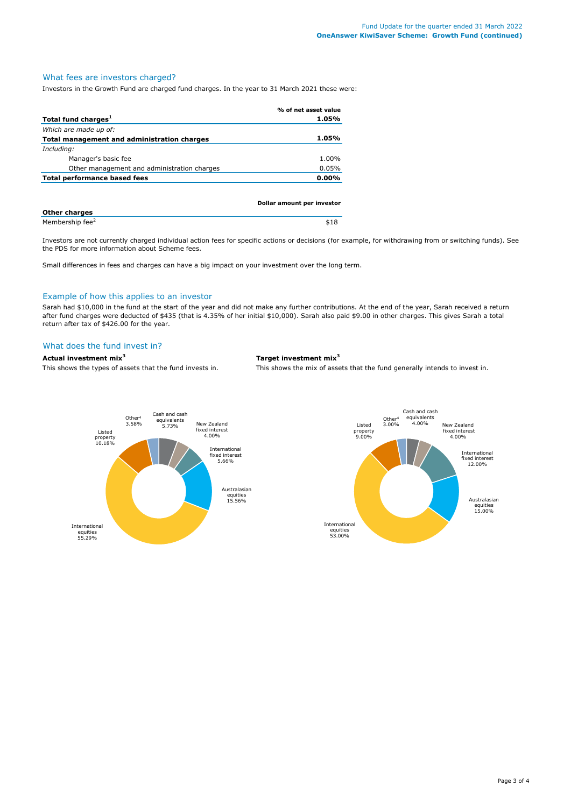# What fees are investors charged?

Investors in the Growth Fund are charged fund charges. In the year to 31 March 2021 these were:

|                                             | % of net asset value |
|---------------------------------------------|----------------------|
| Total fund charges <sup>1</sup>             | 1.05%                |
| Which are made up of:                       |                      |
| Total management and administration charges | 1.05%                |
| Including:                                  |                      |
| Manager's basic fee                         | 1.00%                |
| Other management and administration charges | 0.05%                |
| Total performance based fees                | $0.00\%$             |
|                                             |                      |
|                                             |                      |

|                             | Dollar amount per investor |
|-----------------------------|----------------------------|
| <b>Other charges</b>        |                            |
| Membership fee <sup>2</sup> | \$18                       |

Investors are not currently charged individual action fees for specific actions or decisions (for example, for withdrawing from or switching funds). See the PDS for more information about Scheme fees.

Small differences in fees and charges can have a big impact on your investment over the long term.

#### Example of how this applies to an investor

Sarah had \$10,000 in the fund at the start of the year and did not make any further contributions. At the end of the year, Sarah received a return after fund charges were deducted of \$435 (that is 4.35% of her initial \$10,000). Sarah also paid \$9.00 in other charges. This gives Sarah a total return after tax of \$426.00 for the year.

#### What does the fund invest in?

#### **Actual investment mix<sup>3</sup> Target investment mix<sup>3</sup>**

This shows the types of assets that the fund invests in. This shows the mix of assets that the fund generally intends to invest in.